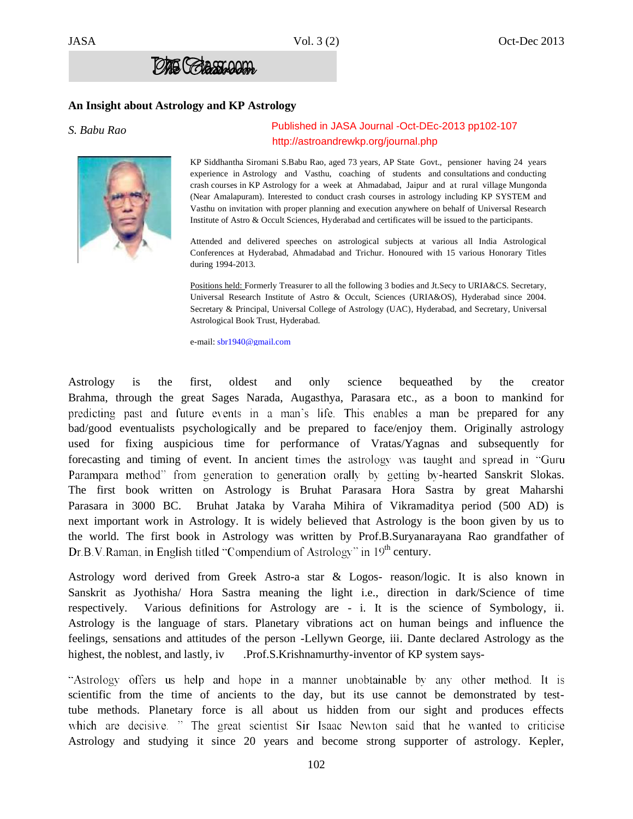

## **An Insight about Astrology and KP Astrology**

### *S. Babu Rao*

# Published in JASA Journal -Oct-DEc-2013 pp102-107 http://astroandrewkp.org/journal.php

KP Siddhantha Siromani S.Babu Rao, aged 73 years, AP State Govt., pensioner having 24 years experience in Astrology and Vasthu, coaching of students and consultations and conducting crash courses in KP Astrology for a week at Ahmadabad, Jaipur and at rural village Mungonda (Near Amalapuram). Interested to conduct crash courses in astrology including KP SYSTEM and Vasthu on invitation with proper planning and execution anywhere on behalf of Universal Research Institute of Astro & Occult Sciences, Hyderabad and certificates will be issued to the participants.

Attended and delivered speeches on astrological subjects at various all India Astrological Conferences at Hyderabad, Ahmadabad and Trichur. Honoured with 15 various Honorary Titles during 1994-2013.

Positions held: Formerly Treasurer to all the following 3 bodies and Jt.Secy to URIA&CS. Secretary, Universal Research Institute of Astro & Occult, Sciences (URIA&OS), Hyderabad since 2004. Secretary & Principal, Universal College of Astrology (UAC), Hyderabad, and Secretary, Universal Astrological Book Trust, Hyderabad.

e-mail: sbr1940@gmail.com

Astrology is the first, oldest and only science bequeathed by the creator Brahma, through the great Sages Narada, Augasthya, Parasara etc., as a boon to mankind for predicting past and future events in a man's life. This enables a man be prepared for any bad/good eventualists psychologically and be prepared to face/enjoy them. Originally astrology used for fixing auspicious time for performance of Vratas/Yagnas and subsequently for forecasting and timing of event. In ancient times the astrology was taught and spread in "Guru" Parampara method" from generation to generation orally by getting by-hearted Sanskrit Slokas. The first book written on Astrology is Bruhat Parasara Hora Sastra by great Maharshi Parasara in 3000 BC. Bruhat Jataka by Varaha Mihira of Vikramaditya period (500 AD) is next important work in Astrology. It is widely believed that Astrology is the boon given by us to the world. The first book in Astrology was written by Prof.B.Suryanarayana Rao grandfather of Dr.B.V.Raman, in English titled "Compendium of Astrology" in 19<sup>th</sup> century.

Astrology word derived from Greek Astro-a star & Logos- reason/logic. It is also known in Sanskrit as Jyothisha/ Hora Sastra meaning the light i.e., direction in dark/Science of time respectively. Various definitions for Astrology are - i. It is the science of Symbology, ii. Astrology is the language of stars. Planetary vibrations act on human beings and influence the feelings, sensations and attitudes of the person -Lellywn George, iii. Dante declared Astrology as the highest, the noblest, and lastly, iv .Prof.S.Krishnamurthy-inventor of KP system says-

"Astrology offers us help and hope in a manner unobtainable by any other method. It is scientific from the time of ancients to the day, but its use cannot be demonstrated by testtube methods. Planetary force is all about us hidden from our sight and produces effects which are decisive. " The great scientist Sir Isaac Newton said that he wanted to criticise Astrology and studying it since 20 years and become strong supporter of astrology. Kepler,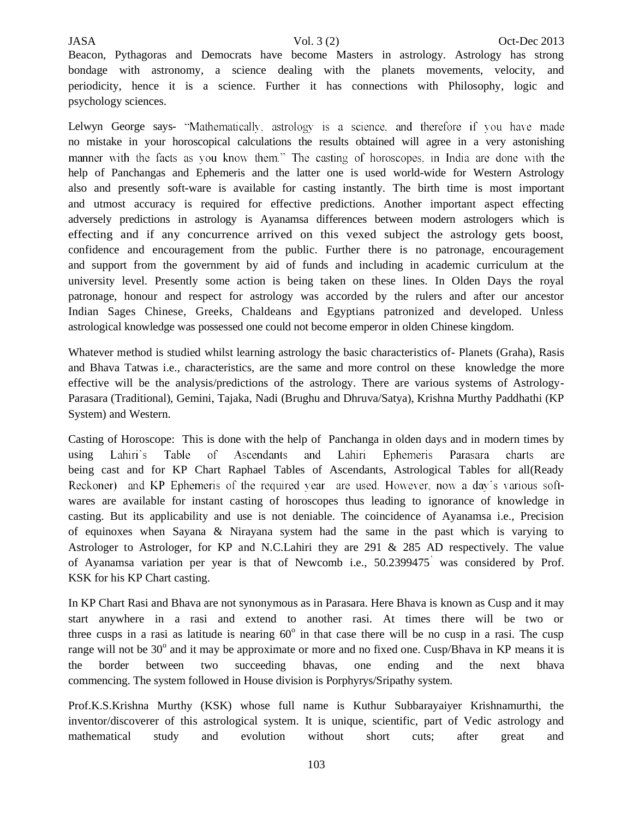Beacon, Pythagoras and Democrats have become Masters in astrology. Astrology has strong bondage with astronomy, a science dealing with the planets movements, velocity, and periodicity, hence it is a science. Further it has connections with Philosophy, logic and psychology sciences.

Lelwyn George says- "Mathematically, astrology is a science, and therefore if you have made no mistake in your horoscopical calculations the results obtained will agree in a very astonishing manner with the facts as you know them." The casting of horoscopes, in India are done with the help of Panchangas and Ephemeris and the latter one is used world-wide for Western Astrology also and presently soft-ware is available for casting instantly. The birth time is most important and utmost accuracy is required for effective predictions. Another important aspect effecting adversely predictions in astrology is Ayanamsa differences between modern astrologers which is effecting and if any concurrence arrived on this vexed subject the astrology gets boost, confidence and encouragement from the public. Further there is no patronage, encouragement and support from the government by aid of funds and including in academic curriculum at the university level. Presently some action is being taken on these lines. In Olden Days the royal patronage, honour and respect for astrology was accorded by the rulers and after our ancestor Indian Sages Chinese, Greeks, Chaldeans and Egyptians patronized and developed. Unless astrological knowledge was possessed one could not become emperor in olden Chinese kingdom.

Whatever method is studied whilst learning astrology the basic characteristics of- Planets (Graha), Rasis and Bhava Tatwas i.e., characteristics, are the same and more control on these knowledge the more effective will be the analysis/predictions of the astrology. There are various systems of Astrology-Parasara (Traditional), Gemini, Tajaka, Nadi (Brughu and Dhruva/Satya), Krishna Murthy Paddhathi (KP System) and Western.

Casting of Horoscope: This is done with the help of Panchanga in olden days and in modern times by Lahiri's Table of Ascendants and Lahiri Ephemeris Parasara charts using are being cast and for KP Chart Raphael Tables of Ascendants, Astrological Tables for all(Ready Reckoner) and KP Ephemeris of the required year are used. However, now a day's various softwares are available for instant casting of horoscopes thus leading to ignorance of knowledge in casting. But its applicability and use is not deniable. The coincidence of Ayanamsa i.e., Precision of equinoxes when Sayana & Nirayana system had the same in the past which is varying to Astrologer to Astrologer, for KP and N.C.Lahiri they are 291 & 285 AD respectively. The value of Ayanamsa variation per year is that of Newcomb i.e., 50.2399475 was considered by Prof. KSK for his KP Chart casting.

In KP Chart Rasi and Bhava are not synonymous as in Parasara. Here Bhava is known as Cusp and it may start anywhere in a rasi and extend to another rasi. At times there will be two or three cusps in a rasi as latitude is nearing  $60^{\circ}$  in that case there will be no cusp in a rasi. The cusp range will not be 30° and it may be approximate or more and no fixed one. Cusp/Bhava in KP means it is the border between two succeeding bhavas, one ending and the next bhava commencing. The system followed in House division is Porphyrys/Sripathy system.

Prof.K.S.Krishna Murthy (KSK) whose full name is Kuthur Subbarayaiyer Krishnamurthi, the inventor/discoverer of this astrological system. It is unique, scientific, part of Vedic astrology and mathematical study and evolution without short cuts; after great and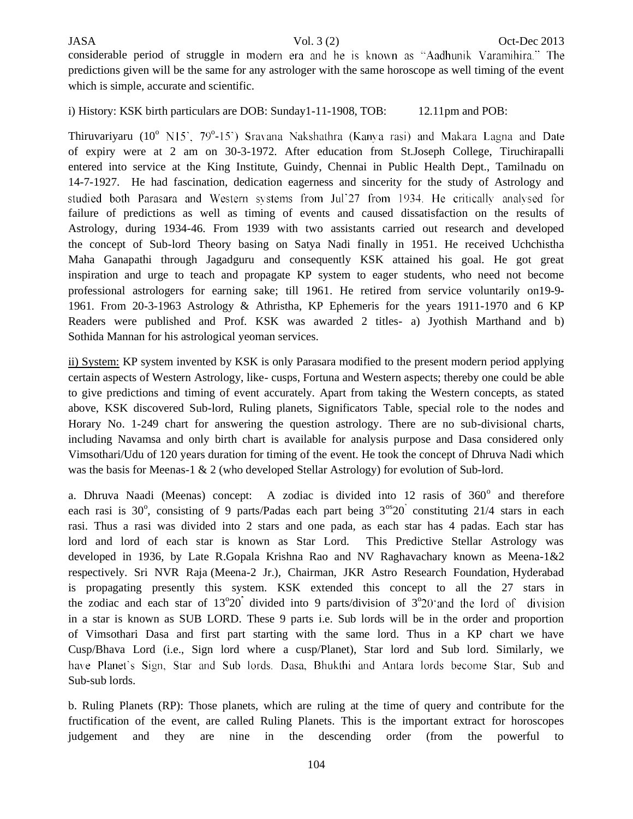considerable period of struggle in modern era and he is known as "Aadhunik Varamihira." The predictions given will be the same for any astrologer with the same horoscope as well timing of the event which is simple, accurate and scientific.

i) History: KSK birth particulars are DOB: Sunday1-11-1908, TOB: 12.11pm and POB:

Thiruvariyaru  $(10^{\circ} \text{ N15}^{\circ}, 79^{\circ}$ of expiry were at 2 am on 30-3-1972. After education from St.Joseph College, Tiruchirapalli entered into service at the King Institute, Guindy, Chennai in Public Health Dept., Tamilnadu on 14-7-1927. He had fascination, dedication eagerness and sincerity for the study of Astrology and studied both Parasara and Western systems from Jul'27 from 1934. He critically analysed for failure of predictions as well as timing of events and caused dissatisfaction on the results of Astrology, during 1934-46. From 1939 with two assistants carried out research and developed the concept of Sub-lord Theory basing on Satya Nadi finally in 1951. He received Uchchistha Maha Ganapathi through Jagadguru and consequently KSK attained his goal. He got great inspiration and urge to teach and propagate KP system to eager students, who need not become professional astrologers for earning sake; till 1961. He retired from service voluntarily on19-9- 1961. From 20-3-1963 Astrology & Athristha, KP Ephemeris for the years 1911-1970 and 6 KP Readers were published and Prof. KSK was awarded 2 titles- a) Jyothish Marthand and b) Sothida Mannan for his astrological yeoman services.

ii) System: KP system invented by KSK is only Parasara modified to the present modern period applying certain aspects of Western Astrology, like- cusps, Fortuna and Western aspects; thereby one could be able to give predictions and timing of event accurately. Apart from taking the Western concepts, as stated above, KSK discovered Sub-lord, Ruling planets, Significators Table, special role to the nodes and Horary No. 1-249 chart for answering the question astrology. There are no sub-divisional charts, including Navamsa and only birth chart is available for analysis purpose and Dasa considered only Vimsothari/Udu of 120 years duration for timing of the event. He took the concept of Dhruva Nadi which was the basis for Meenas-1 & 2 (who developed Stellar Astrology) for evolution of Sub-lord.

a. Dhruva Naadi (Meenas) concept: A zodiac is divided into 12 rasis of 360° and therefore each rasi is 30°, consisting of 9 parts/Padas each part being  $3^{\circ}20^{\circ}$  constituting 21/4 stars in each rasi. Thus a rasi was divided into 2 stars and one pada, as each star has 4 padas. Each star has lord and lord of each star is known as Star Lord. This Predictive Stellar Astrology was developed in 1936, by Late R.Gopala Krishna Rao and NV Raghavachary known as Meena-1&2 respectively. Sri NVR Raja (Meena-2 Jr.), Chairman, JKR Astro Research Foundation, Hyderabad is propagating presently this system. KSK extended this concept to all the 27 stars in the zodiac and each star of  $13^{\circ}20$  divided into 9 parts/division of  $3^{\circ}$ in a star is known as SUB LORD. These 9 parts i.e. Sub lords will be in the order and proportion of Vimsothari Dasa and first part starting with the same lord. Thus in a KP chart we have Cusp/Bhava Lord (i.e., Sign lord where a cusp/Planet), Star lord and Sub lord. Similarly, we have Planet's Sign, Star and Sub lords. Dasa, Bhukthi and Antara lords become Star, Sub and Sub-sub lords.

b. Ruling Planets (RP): Those planets, which are ruling at the time of query and contribute for the fructification of the event, are called Ruling Planets. This is the important extract for horoscopes judgement and they are nine in the descending order (from the powerful to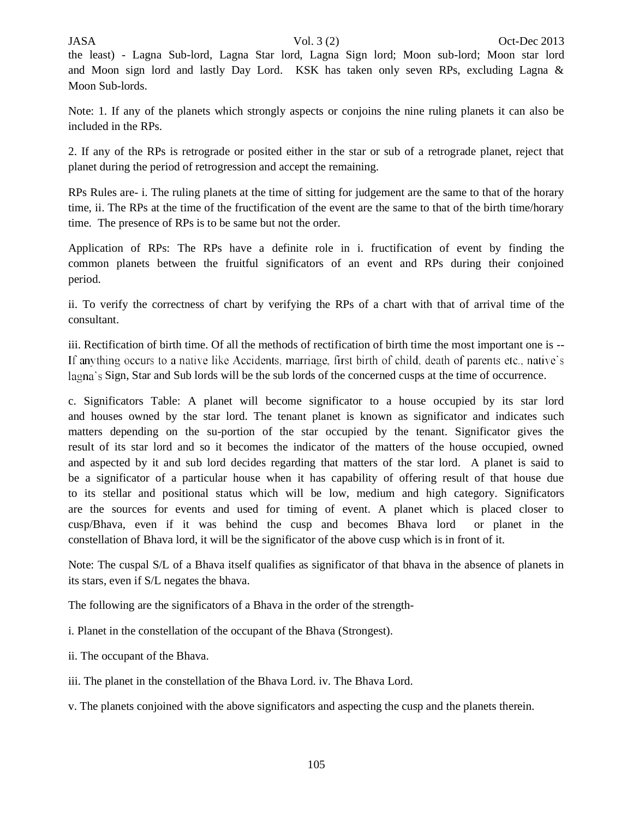the least) - Lagna Sub-lord, Lagna Star lord, Lagna Sign lord; Moon sub-lord; Moon star lord and Moon sign lord and lastly Day Lord. KSK has taken only seven RPs, excluding Lagna & Moon Sub-lords.

Note: 1. If any of the planets which strongly aspects or conjoins the nine ruling planets it can also be included in the RPs.

2. If any of the RPs is retrograde or posited either in the star or sub of a retrograde planet, reject that planet during the period of retrogression and accept the remaining.

RPs Rules are- i. The ruling planets at the time of sitting for judgement are the same to that of the horary time, ii. The RPs at the time of the fructification of the event are the same to that of the birth time/horary time. The presence of RPs is to be same but not the order.

Application of RPs: The RPs have a definite role in i. fructification of event by finding the common planets between the fruitful significators of an event and RPs during their conjoined period.

ii. To verify the correctness of chart by verifying the RPs of a chart with that of arrival time of the consultant.

iii. Rectification of birth time. Of all the methods of rectification of birth time the most important one is -- If anything occurs to a native like Accidents, marriage, first birth of child, death of parents etc., native's lagna's Sign, Star and Sub lords will be the sub lords of the concerned cusps at the time of occurrence.

c. Significators Table: A planet will become significator to a house occupied by its star lord and houses owned by the star lord. The tenant planet is known as significator and indicates such matters depending on the su-portion of the star occupied by the tenant. Significator gives the result of its star lord and so it becomes the indicator of the matters of the house occupied, owned and aspected by it and sub lord decides regarding that matters of the star lord. A planet is said to be a significator of a particular house when it has capability of offering result of that house due to its stellar and positional status which will be low, medium and high category. Significators are the sources for events and used for timing of event. A planet which is placed closer to cusp/Bhava, even if it was behind the cusp and becomes Bhava lord or planet in the constellation of Bhava lord, it will be the significator of the above cusp which is in front of it.

Note: The cuspal S/L of a Bhava itself qualifies as significator of that bhava in the absence of planets in its stars, even if S/L negates the bhava.

The following are the significators of a Bhava in the order of the strength-

i. Planet in the constellation of the occupant of the Bhava (Strongest).

ii. The occupant of the Bhava.

iii. The planet in the constellation of the Bhava Lord. iv. The Bhava Lord.

v. The planets conjoined with the above significators and aspecting the cusp and the planets therein.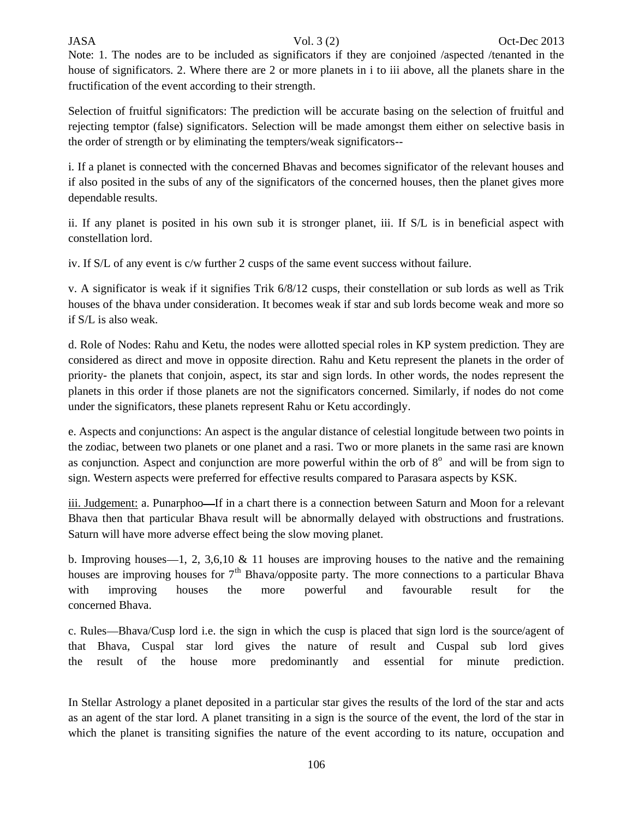# JASA Vol. 3 (2) Oct-Dec 2013

Note: 1. The nodes are to be included as significators if they are conjoined /aspected /tenanted in the house of significators. 2. Where there are 2 or more planets in i to iii above, all the planets share in the fructification of the event according to their strength.

Selection of fruitful significators: The prediction will be accurate basing on the selection of fruitful and rejecting temptor (false) significators. Selection will be made amongst them either on selective basis in the order of strength or by eliminating the tempters/weak significators--

i. If a planet is connected with the concerned Bhavas and becomes significator of the relevant houses and if also posited in the subs of any of the significators of the concerned houses, then the planet gives more dependable results.

ii. If any planet is posited in his own sub it is stronger planet, iii. If S/L is in beneficial aspect with constellation lord.

iv. If S/L of any event is c/w further 2 cusps of the same event success without failure.

v. A significator is weak if it signifies Trik 6/8/12 cusps, their constellation or sub lords as well as Trik houses of the bhava under consideration. It becomes weak if star and sub lords become weak and more so if S/L is also weak.

d. Role of Nodes: Rahu and Ketu, the nodes were allotted special roles in KP system prediction. They are considered as direct and move in opposite direction. Rahu and Ketu represent the planets in the order of priority- the planets that conjoin, aspect, its star and sign lords. In other words, the nodes represent the planets in this order if those planets are not the significators concerned. Similarly, if nodes do not come under the significators, these planets represent Rahu or Ketu accordingly.

e. Aspects and conjunctions: An aspect is the angular distance of celestial longitude between two points in the zodiac, between two planets or one planet and a rasi. Two or more planets in the same rasi are known as conjunction. Aspect and conjunction are more powerful within the orb of  $8^\circ$  and will be from sign to sign. Western aspects were preferred for effective results compared to Parasara aspects by KSK.

iii. Judgement: a. Punarphoo—If in a chart there is a connection between Saturn and Moon for a relevant Bhava then that particular Bhava result will be abnormally delayed with obstructions and frustrations. Saturn will have more adverse effect being the slow moving planet.

b. Improving houses  $-1$ , 2, 3,6,10 & 11 houses are improving houses to the native and the remaining houses are improving houses for  $7<sup>th</sup>$  Bhava/opposite party. The more connections to a particular Bhava with improving houses the more powerful and favourable result for the concerned Bhava.

c. Rules—Bhava/Cusp lord i.e. the sign in which the cusp is placed that sign lord is the source/agent of that Bhava, Cuspal star lord gives the nature of result and Cuspal sub lord gives the result of the house more predominantly and essential for minute prediction.

In Stellar Astrology a planet deposited in a particular star gives the results of the lord of the star and acts as an agent of the star lord. A planet transiting in a sign is the source of the event, the lord of the star in which the planet is transiting signifies the nature of the event according to its nature, occupation and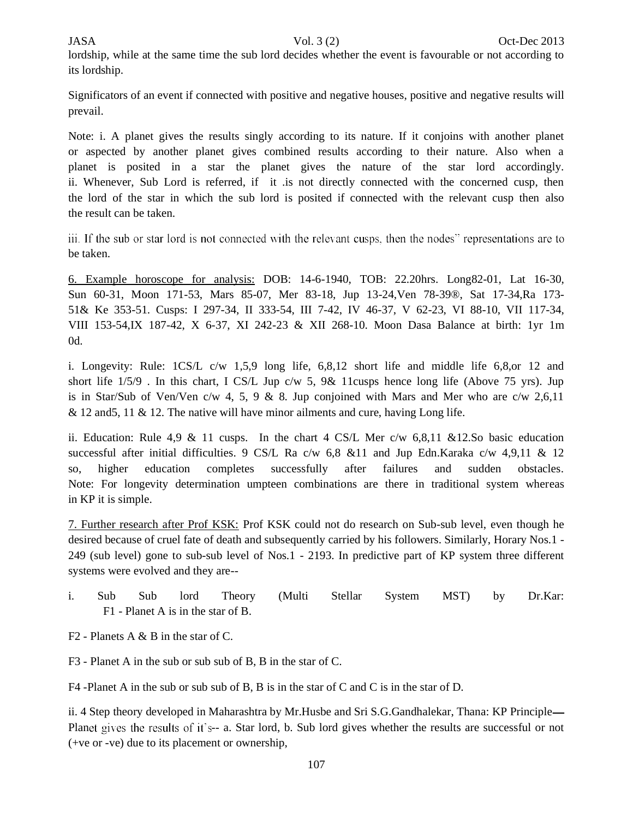lordship, while at the same time the sub lord decides whether the event is favourable or not according to its lordship.

Significators of an event if connected with positive and negative houses, positive and negative results will prevail.

Note: i. A planet gives the results singly according to its nature. If it conjoins with another planet or aspected by another planet gives combined results according to their nature. Also when a planet is posited in a star the planet gives the nature of the star lord accordingly. ii. Whenever, Sub Lord is referred, if it .is not directly connected with the concerned cusp, then the lord of the star in which the sub lord is posited if connected with the relevant cusp then also the result can be taken.

iii. If the sub or star lord is not connected with the relevant cusps, then the nodes" representations are to be taken.

6. Example horoscope for analysis: DOB: 14-6-1940, TOB: 22.20hrs. Long82-01, Lat 16-30, Sun 60-31, Moon 171-53, Mars 85-07, Mer 83-18, Jup 13-24,Ven 78-39®, Sat 17-34,Ra 173- 51& Ke 353-51. Cusps: I 297-34, II 333-54, III 7-42, IV 46-37, V 62-23, VI 88-10, VII 117-34, VIII 153-54,IX 187-42, X 6-37, XI 242-23 & XII 268-10. Moon Dasa Balance at birth: 1yr 1m 0d.

i. Longevity: Rule: 1CS/L c/w 1,5,9 long life, 6,8,12 short life and middle life 6,8,or 12 and short life 1/5/9 . In this chart, I CS/L Jup c/w 5, 9& 11cusps hence long life (Above 75 yrs). Jup is in Star/Sub of Ven/Ven c/w 4, 5, 9 & 8. Jup conjoined with Mars and Mer who are c/w 2,6,11 & 12 and 5, 11 & 12. The native will have minor ailments and cure, having Long life.

ii. Education: Rule 4,9 & 11 cusps. In the chart 4 CS/L Mer c/w 6,8,11 &12.So basic education successful after initial difficulties. 9 CS/L Ra c/w 6,8 &11 and Jup Edn.Karaka c/w 4,9,11 & 12 so, higher education completes successfully after failures and sudden obstacles. Note: For longevity determination umpteen combinations are there in traditional system whereas in KP it is simple.

7. Further research after Prof KSK: Prof KSK could not do research on Sub-sub level, even though he desired because of cruel fate of death and subsequently carried by his followers. Similarly, Horary Nos.1 - 249 (sub level) gone to sub-sub level of Nos.1 - 2193. In predictive part of KP system three different systems were evolved and they are--

i. Sub Sub lord Theory (Multi Stellar System MST) by Dr.Kar: F1 - Planet A is in the star of B.

F2 - Planets A & B in the star of C.

F3 - Planet A in the sub or sub sub of B, B in the star of C.

F4 -Planet A in the sub or sub sub of B, B is in the star of C and C is in the star of D.

ii. 4 Step theory developed in Maharashtra by Mr.Husbe and Sri S.G.Gandhalekar, Thana: KP Principle Planet gives the results of it's-- a. Star lord, b. Sub lord gives whether the results are successful or not (+ve or -ve) due to its placement or ownership,